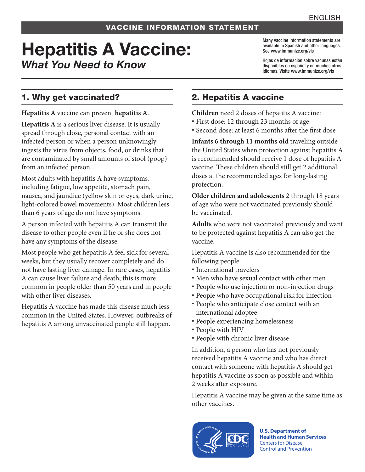### VACCINE INFORMATION STATEMENT

# Hepatitis A Vaccine: *What You Need to Know*

Many vaccine information statements are available in Spanish and other languages. See www.immunize.org/vis

Hojas de información sobre vacunas están disponibles en español y en muchos otros idiomas. Visite www.immunize.org/vis

## 1. Why get vaccinated?

**Hepatitis A** vaccine can prevent **hepatitis A**.

**Hepatitis A** is a serious liver disease. It is usually spread through close, personal contact with an infected person or when a person unknowingly ingests the virus from objects, food, or drinks that are contaminated by small amounts of stool (poop) from an infected person.

Most adults with hepatitis A have symptoms, including fatigue, low appetite, stomach pain, nausea, and jaundice (yellow skin or eyes, dark urine, light-colored bowel movements). Most children less than 6 years of age do not have symptoms.

A person infected with hepatitis A can transmit the disease to other people even if he or she does not have any symptoms of the disease.

Most people who get hepatitis A feel sick for several weeks, but they usually recover completely and do not have lasting liver damage. In rare cases, hepatitis A can cause liver failure and death; this is more common in people older than 50 years and in people with other liver diseases.

Hepatitis A vaccine has made this disease much less common in the United States. However, outbreaks of hepatitis A among unvaccinated people still happen.

# 2. Hepatitis A vaccine

**Children** need 2 doses of hepatitis A vaccine:

- First dose: 12 through 23 months of age
- Second dose: at least 6 months after the first dose

**Infants 6 through 11 months old** traveling outside the United States when protection against hepatitis A is recommended should receive 1 dose of hepatitis A vaccine. These children should still get 2 additional doses at the recommended ages for long-lasting protection.

**Older children and adolescents** 2 through 18 years of age who were not vaccinated previously should be vaccinated.

**Adults** who were not vaccinated previously and want to be protected against hepatitis A can also get the vaccine.

Hepatitis A vaccine is also recommended for the following people:

- International travelers
- Men who have sexual contact with other men
- People who use injection or non-injection drugs
- People who have occupational risk for infection
- People who anticipate close contact with an international adoptee
- People experiencing homelessness
- People with HIV
- People with chronic liver disease

In addition, a person who has not previously received hepatitis A vaccine and who has direct contact with someone with hepatitis A should get hepatitis A vaccine as soon as possible and within 2 weeks after exposure.

Hepatitis A vaccine may be given at the same time as other vaccines.



**U.S. Department of Health and Human Services**  Centers for Disease Control and Prevention